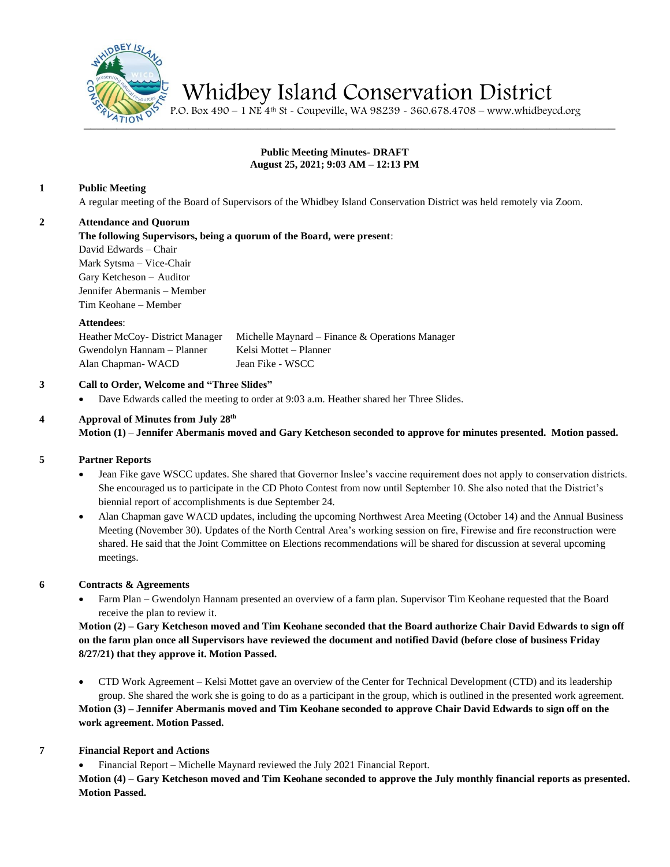

Whidbey Island Conservation District

 $\frac{1}{2410}$   $\frac{1}{25}$  P.O. Box 490 – 1 NE 4<sup>th</sup> St - Coupeville, WA 98239 - 360.678.4708 – www.whidbeycd.org

## **Public Meeting Minutes- DRAFT August 25, 2021; 9:03 AM – 12:13 PM**

## **1 Public Meeting**

A regular meeting of the Board of Supervisors of the Whidbey Island Conservation District was held remotely via Zoom.

#### **2 Attendance and Quorum**

**The following Supervisors, being a quorum of the Board, were present**:

David Edwards – Chair Mark Sytsma – Vice-Chair Gary Ketcheson – Auditor Jennifer Abermanis – Member Tim Keohane – Member

#### **Attendees**:

Heather McCoy- District Manager Michelle Maynard – Finance & Operations Manager Gwendolyn Hannam – Planner Kelsi Mottet – Planner Alan Chapman- WACD Jean Fike - WSCC

# **3 Call to Order, Welcome and "Three Slides"**

• Dave Edwards called the meeting to order at 9:03 a.m. Heather shared her Three Slides.

# **4 Approval of Minutes from July 28th**

**Motion (1)** – **Jennifer Abermanis moved and Gary Ketcheson seconded to approve for minutes presented. Motion passed.**

# **5 Partner Reports**

- Jean Fike gave WSCC updates. She shared that Governor Inslee's vaccine requirement does not apply to conservation districts. She encouraged us to participate in the CD Photo Contest from now until September 10. She also noted that the District's biennial report of accomplishments is due September 24.
- Alan Chapman gave WACD updates, including the upcoming Northwest Area Meeting (October 14) and the Annual Business Meeting (November 30). Updates of the North Central Area's working session on fire, Firewise and fire reconstruction were shared. He said that the Joint Committee on Elections recommendations will be shared for discussion at several upcoming meetings.

# **6 Contracts & Agreements**

• Farm Plan – Gwendolyn Hannam presented an overview of a farm plan. Supervisor Tim Keohane requested that the Board receive the plan to review it.

**Motion (2) – Gary Ketcheson moved and Tim Keohane seconded that the Board authorize Chair David Edwards to sign off on the farm plan once all Supervisors have reviewed the document and notified David (before close of business Friday 8/27/21) that they approve it. Motion Passed.**

• CTD Work Agreement – Kelsi Mottet gave an overview of the Center for Technical Development (CTD) and its leadership group. She shared the work she is going to do as a participant in the group, which is outlined in the presented work agreement. **Motion (3) – Jennifer Abermanis moved and Tim Keohane seconded to approve Chair David Edwards to sign off on the work agreement. Motion Passed.**

# **7 Financial Report and Actions**

• Financial Report – Michelle Maynard reviewed the July 2021 Financial Report.

**Motion (4)** – **Gary Ketcheson moved and Tim Keohane seconded to approve the July monthly financial reports as presented. Motion Passed.**